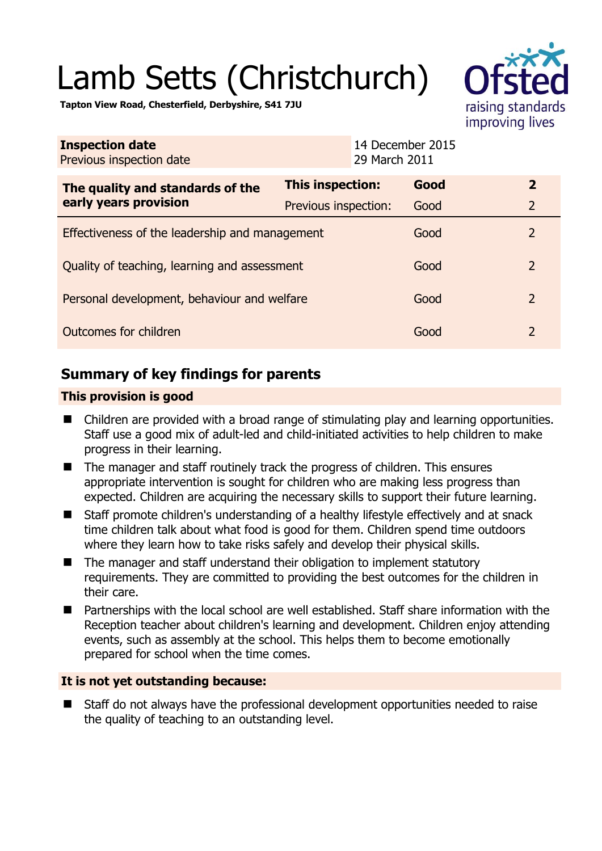# Lamb Setts (Christchurch)



**Tapton View Road, Chesterfield, Derbyshire, S41 7JU** 

| <b>Inspection date</b><br>Previous inspection date        | 14 December 2015<br>29 March 2011 |      |                |
|-----------------------------------------------------------|-----------------------------------|------|----------------|
| The quality and standards of the<br>early years provision | This inspection:                  | Good | $\overline{2}$ |
|                                                           | Previous inspection:              | Good | $\overline{2}$ |
| Effectiveness of the leadership and management            |                                   | Good | $\overline{2}$ |
| Quality of teaching, learning and assessment              |                                   | Good | $\overline{2}$ |
| Personal development, behaviour and welfare               |                                   | Good | $\overline{2}$ |
| Outcomes for children                                     |                                   | Good | $\overline{2}$ |

## **Summary of key findings for parents**

## **This provision is good**

- Children are provided with a broad range of stimulating play and learning opportunities. Staff use a good mix of adult-led and child-initiated activities to help children to make progress in their learning.
- The manager and staff routinely track the progress of children. This ensures appropriate intervention is sought for children who are making less progress than expected. Children are acquiring the necessary skills to support their future learning.
- Staff promote children's understanding of a healthy lifestyle effectively and at snack time children talk about what food is good for them. Children spend time outdoors where they learn how to take risks safely and develop their physical skills.
- The manager and staff understand their obligation to implement statutory requirements. They are committed to providing the best outcomes for the children in their care.
- Partnerships with the local school are well established. Staff share information with the Reception teacher about children's learning and development. Children enjoy attending events, such as assembly at the school. This helps them to become emotionally prepared for school when the time comes.

### **It is not yet outstanding because:**

■ Staff do not always have the professional development opportunities needed to raise the quality of teaching to an outstanding level.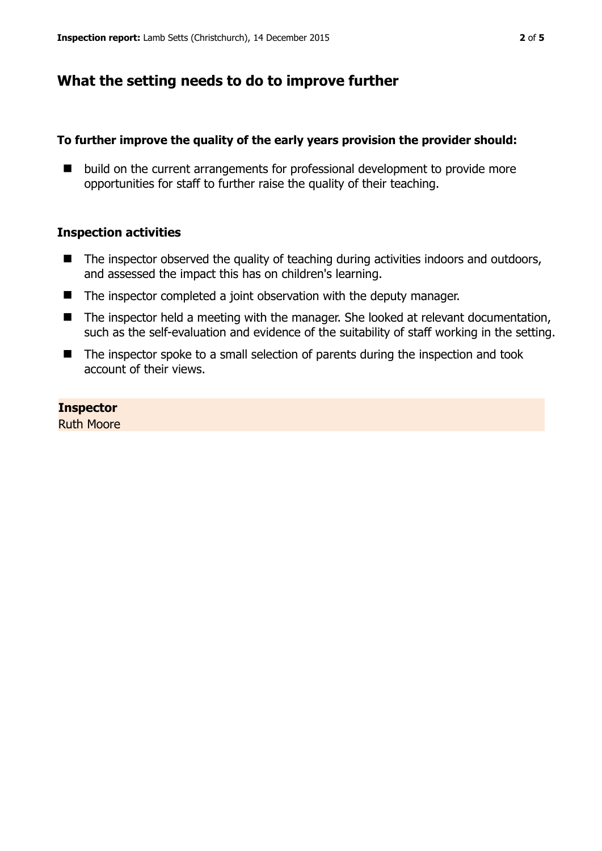## **What the setting needs to do to improve further**

#### **To further improve the quality of the early years provision the provider should:**

■ build on the current arrangements for professional development to provide more opportunities for staff to further raise the quality of their teaching.

#### **Inspection activities**

- $\blacksquare$  The inspector observed the quality of teaching during activities indoors and outdoors, and assessed the impact this has on children's learning.
- The inspector completed a joint observation with the deputy manager.
- The inspector held a meeting with the manager. She looked at relevant documentation, such as the self-evaluation and evidence of the suitability of staff working in the setting.
- The inspector spoke to a small selection of parents during the inspection and took account of their views.

**Inspector**  Ruth Moore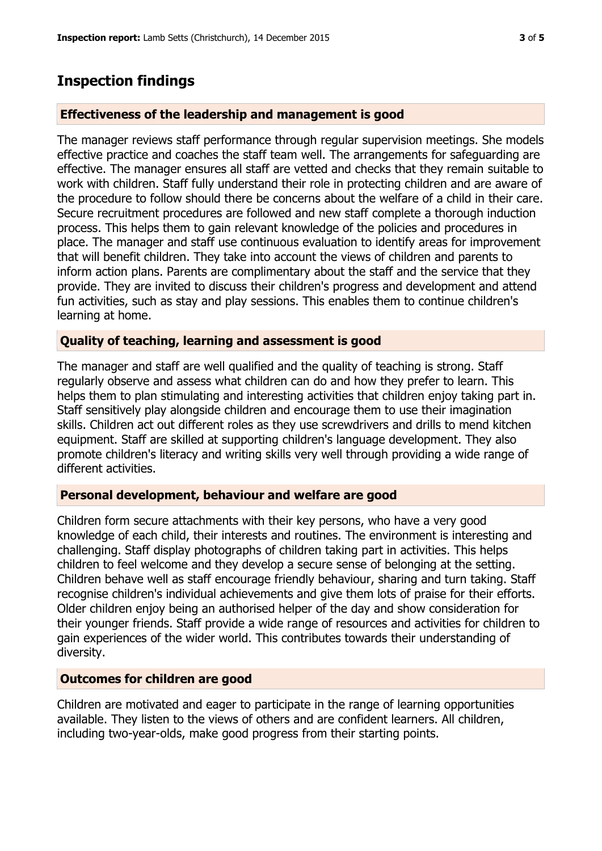## **Inspection findings**

## **Effectiveness of the leadership and management is good**

The manager reviews staff performance through regular supervision meetings. She models effective practice and coaches the staff team well. The arrangements for safeguarding are effective. The manager ensures all staff are vetted and checks that they remain suitable to work with children. Staff fully understand their role in protecting children and are aware of the procedure to follow should there be concerns about the welfare of a child in their care. Secure recruitment procedures are followed and new staff complete a thorough induction process. This helps them to gain relevant knowledge of the policies and procedures in place. The manager and staff use continuous evaluation to identify areas for improvement that will benefit children. They take into account the views of children and parents to inform action plans. Parents are complimentary about the staff and the service that they provide. They are invited to discuss their children's progress and development and attend fun activities, such as stay and play sessions. This enables them to continue children's learning at home.

## **Quality of teaching, learning and assessment is good**

The manager and staff are well qualified and the quality of teaching is strong. Staff regularly observe and assess what children can do and how they prefer to learn. This helps them to plan stimulating and interesting activities that children enjoy taking part in. Staff sensitively play alongside children and encourage them to use their imagination skills. Children act out different roles as they use screwdrivers and drills to mend kitchen equipment. Staff are skilled at supporting children's language development. They also promote children's literacy and writing skills very well through providing a wide range of different activities.

### **Personal development, behaviour and welfare are good**

Children form secure attachments with their key persons, who have a very good knowledge of each child, their interests and routines. The environment is interesting and challenging. Staff display photographs of children taking part in activities. This helps children to feel welcome and they develop a secure sense of belonging at the setting. Children behave well as staff encourage friendly behaviour, sharing and turn taking. Staff recognise children's individual achievements and give them lots of praise for their efforts. Older children enjoy being an authorised helper of the day and show consideration for their younger friends. Staff provide a wide range of resources and activities for children to gain experiences of the wider world. This contributes towards their understanding of diversity.

### **Outcomes for children are good**

Children are motivated and eager to participate in the range of learning opportunities available. They listen to the views of others and are confident learners. All children, including two-year-olds, make good progress from their starting points.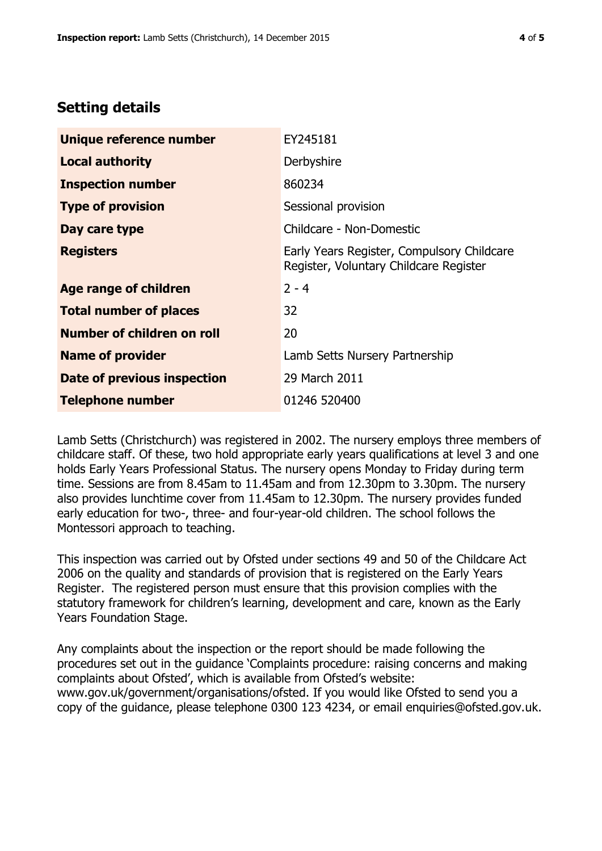# **Setting details**

| Unique reference number       | EY245181                                                                             |  |
|-------------------------------|--------------------------------------------------------------------------------------|--|
| <b>Local authority</b>        | Derbyshire                                                                           |  |
| <b>Inspection number</b>      | 860234                                                                               |  |
| <b>Type of provision</b>      | Sessional provision                                                                  |  |
| Day care type                 | Childcare - Non-Domestic                                                             |  |
| <b>Registers</b>              | Early Years Register, Compulsory Childcare<br>Register, Voluntary Childcare Register |  |
| <b>Age range of children</b>  | $2 - 4$                                                                              |  |
| <b>Total number of places</b> | 32                                                                                   |  |
| Number of children on roll    | 20                                                                                   |  |
| <b>Name of provider</b>       | Lamb Setts Nursery Partnership                                                       |  |
| Date of previous inspection   | 29 March 2011                                                                        |  |
| <b>Telephone number</b>       | 01246 520400                                                                         |  |

Lamb Setts (Christchurch) was registered in 2002. The nursery employs three members of childcare staff. Of these, two hold appropriate early years qualifications at level 3 and one holds Early Years Professional Status. The nursery opens Monday to Friday during term time. Sessions are from 8.45am to 11.45am and from 12.30pm to 3.30pm. The nursery also provides lunchtime cover from 11.45am to 12.30pm. The nursery provides funded early education for two-, three- and four-year-old children. The school follows the Montessori approach to teaching.

This inspection was carried out by Ofsted under sections 49 and 50 of the Childcare Act 2006 on the quality and standards of provision that is registered on the Early Years Register. The registered person must ensure that this provision complies with the statutory framework for children's learning, development and care, known as the Early Years Foundation Stage.

Any complaints about the inspection or the report should be made following the procedures set out in the guidance 'Complaints procedure: raising concerns and making complaints about Ofsted', which is available from Ofsted's website: www.gov.uk/government/organisations/ofsted. If you would like Ofsted to send you a copy of the guidance, please telephone 0300 123 4234, or email enquiries@ofsted.gov.uk.